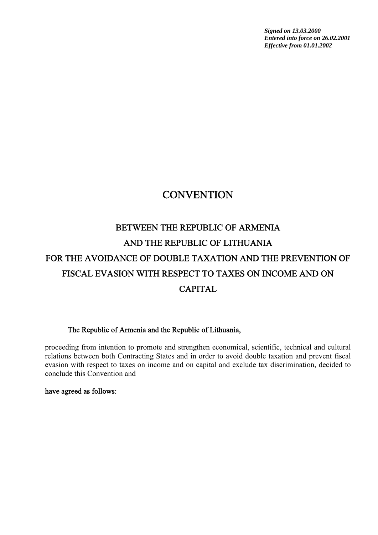*Signed on 13.03.2000 Entered into force on 26.02.2001 Effective from 01.01.2002*

## **CONVENTION**

# BETWEEN THE REPUBLIC OF ARMENIA AND THE REPUBLIC OF LITHUANIA FOR THE AVOIDANCE OF DOUBLE TAXATION AND THE PREVENTION OF FISCAL EVASION WITH RESPECT TO TAXES ON INCOME AND ON CAPITAL

#### The Republic of Armenia and the Republic of Lithuania,

proceeding from intention to promote and strengthen economical, scientific, technical and cultural relations between both Contracting States and in order to avoid double taxation and prevent fiscal evasion with respect to taxes on income and on capital and exclude tax discrimination, decided to conclude this Convention and

#### have agreed as follows: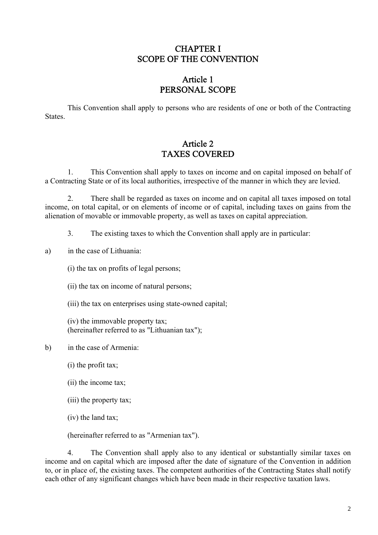#### CHAPTER I SCOPE OF THE CONVENTION

### Article 1 PERSONAL SCOPE

This Convention shall apply to persons who are residents of one or both of the Contracting **States**.

### Article 2 TAXES COVERED

1. This Convention shall apply to taxes on income and on capital imposed on behalf of a Contracting State or of its local authorities, irrespective of the manner in which they are levied.

2. There shall be regarded as taxes on income and on capital all taxes imposed on total income, on total capital, or on elements of income or of capital, including taxes on gains from the alienation of movable or immovable property, as well as taxes on capital appreciation.

3. The existing taxes to which the Convention shall apply are in particular:

a) in the case of Lithuania:

(i) the tax on profits of legal persons;

(ii) the tax on income of natural persons;

(iii) the tax on enterprises using state-owned capital;

(iv) the immovable property tax; (hereinafter referred to as "Lithuanian tax");

b) in the case of Armenia:

(i) the profit tax;

(ii) the income tax;

(iii) the property tax;

(iv) the land tax;

(hereinafter referred to as "Armenian tax").

4. The Convention shall apply also to any identical or substantially similar taxes on income and on capital which are imposed after the date of signature of the Convention in addition to, or in place of, the existing taxes. The competent authorities of the Contracting States shall notify each other of any significant changes which have been made in their respective taxation laws.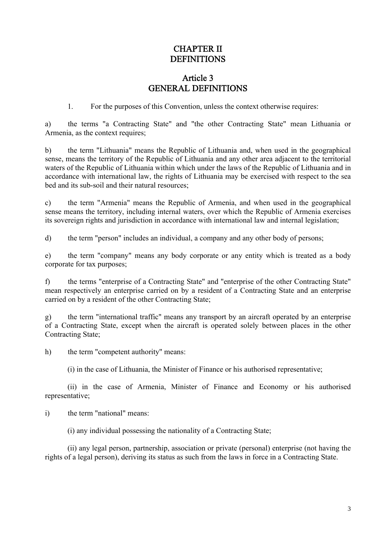#### CHAPTER II DEFINITIONS

### Article 3 GENERAL DEFINITIONS

1. For the purposes of this Convention, unless the context otherwise requires:

a) the terms "a Contracting State" and "the other Contracting State" mean Lithuania or Armenia, as the context requires;

b) the term "Lithuania" means the Republic of Lithuania and, when used in the geographical sense, means the territory of the Republic of Lithuania and any other area adjacent to the territorial waters of the Republic of Lithuania within which under the laws of the Republic of Lithuania and in accordance with international law, the rights of Lithuania may be exercised with respect to the sea bed and its sub-soil and their natural resources;

c) the term "Armenia" means the Republic of Armenia, and when used in the geographical sense means the territory, including internal waters, over which the Republic of Armenia exercises its sovereign rights and jurisdiction in accordance with international law and internal legislation;

d) the term "person" includes an individual, a company and any other body of persons;

e) the term "company" means any body corporate or any entity which is treated as a body corporate for tax purposes;

f) the terms "enterprise of a Contracting State" and "enterprise of the other Contracting State" mean respectively an enterprise carried on by a resident of a Contracting State and an enterprise carried on by a resident of the other Contracting State;

g) the term "international traffic" means any transport by an aircraft operated by an enterprise of a Contracting State, except when the aircraft is operated solely between places in the other Contracting State;

h) the term "competent authority" means:

(i) in the case of Lithuania, the Minister of Finance or his authorised representative;

(ii) in the case of Armenia, Minister of Finance and Economy or his authorised representative;

i) the term "national" means:

(i) any individual possessing the nationality of a Contracting State;

(ii) any legal person, partnership, association or private (personal) enterprise (not having the rights of a legal person), deriving its status as such from the laws in force in a Contracting State.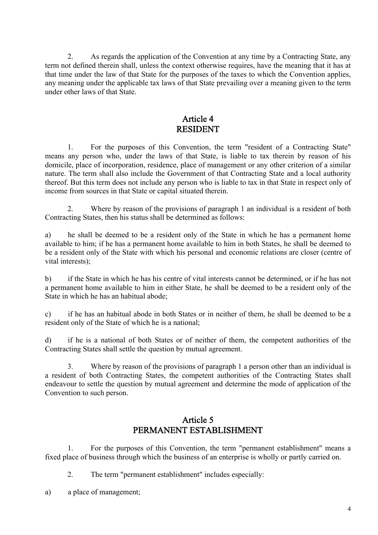2. As regards the application of the Convention at any time by a Contracting State, any term not defined therein shall, unless the context otherwise requires, have the meaning that it has at that time under the law of that State for the purposes of the taxes to which the Convention applies, any meaning under the applicable tax laws of that State prevailing over a meaning given to the term under other laws of that State.

#### Article 4 RESIDENT

1. For the purposes of this Convention, the term "resident of a Contracting State" means any person who, under the laws of that State, is liable to tax therein by reason of his domicile, place of incorporation, residence, place of management or any other criterion of a similar nature. The term shall also include the Government of that Contracting State and a local authority thereof. But this term does not include any person who is liable to tax in that State in respect only of income from sources in that State or capital situated therein.

2. Where by reason of the provisions of paragraph 1 an individual is a resident of both Contracting States, then his status shall be determined as follows:

a) he shall be deemed to be a resident only of the State in which he has a permanent home available to him; if he has a permanent home available to him in both States, he shall be deemed to be a resident only of the State with which his personal and economic relations are closer (centre of vital interests);

b) if the State in which he has his centre of vital interests cannot be determined, or if he has not a permanent home available to him in either State, he shall be deemed to be a resident only of the State in which he has an habitual abode;

c) if he has an habitual abode in both States or in neither of them, he shall be deemed to be a resident only of the State of which he is a national;

d) if he is a national of both States or of neither of them, the competent authorities of the Contracting States shall settle the question by mutual agreement.

3. Where by reason of the provisions of paragraph 1 a person other than an individual is a resident of both Contracting States, the competent authorities of the Contracting States shall endeavour to settle the question by mutual agreement and determine the mode of application of the Convention to such person.

#### Article 5 PERMANENT ESTABLISHMENT

1. For the purposes of this Convention, the term "permanent establishment" means a fixed place of business through which the business of an enterprise is wholly or partly carried on.

2. The term "permanent establishment" includes especially:

a) a place of management;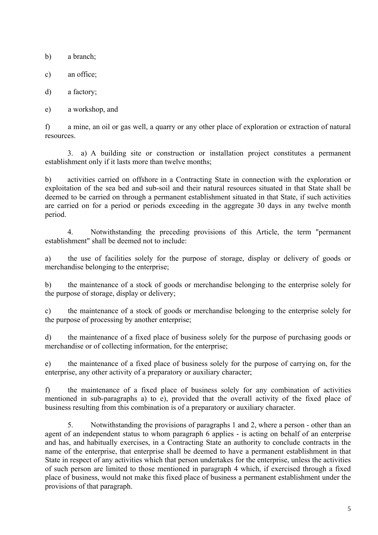b) a branch;

c) an office;

d) a factory;

e) a workshop, and

f) a mine, an oil or gas well, a quarry or any other place of exploration or extraction of natural resources.

3. a) A building site or construction or installation project constitutes a permanent establishment only if it lasts more than twelve months;

b) activities carried on offshore in a Contracting State in connection with the exploration or exploitation of the sea bed and sub-soil and their natural resources situated in that State shall be deemed to be carried on through a permanent establishment situated in that State, if such activities are carried on for a period or periods exceeding in the aggregate 30 days in any twelve month period.

4. Notwithstanding the preceding provisions of this Article, the term "permanent establishment" shall be deemed not to include:

a) the use of facilities solely for the purpose of storage, display or delivery of goods or merchandise belonging to the enterprise;

b) the maintenance of a stock of goods or merchandise belonging to the enterprise solely for the purpose of storage, display or delivery;

c) the maintenance of a stock of goods or merchandise belonging to the enterprise solely for the purpose of processing by another enterprise;

d) the maintenance of a fixed place of business solely for the purpose of purchasing goods or merchandise or of collecting information, for the enterprise;

e) the maintenance of a fixed place of business solely for the purpose of carrying on, for the enterprise, any other activity of a preparatory or auxiliary character;

f) the maintenance of a fixed place of business solely for any combination of activities mentioned in sub-paragraphs a) to e), provided that the overall activity of the fixed place of business resulting from this combination is of a preparatory or auxiliary character.

5. Notwithstanding the provisions of paragraphs 1 and 2, where a person - other than an agent of an independent status to whom paragraph 6 applies - is acting on behalf of an enterprise and has, and habitually exercises, in a Contracting State an authority to conclude contracts in the name of the enterprise, that enterprise shall be deemed to have a permanent establishment in that State in respect of any activities which that person undertakes for the enterprise, unless the activities of such person are limited to those mentioned in paragraph 4 which, if exercised through a fixed place of business, would not make this fixed place of business a permanent establishment under the provisions of that paragraph.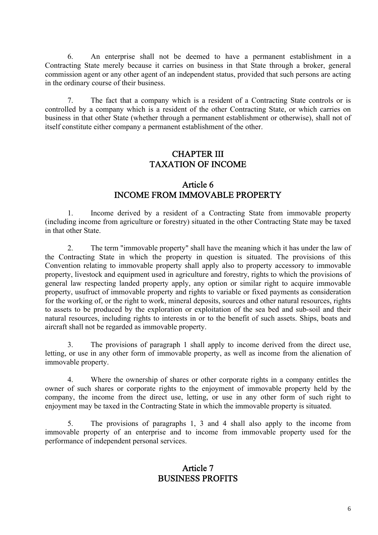6. An enterprise shall not be deemed to have a permanent establishment in a Contracting State merely because it carries on business in that State through a broker, general commission agent or any other agent of an independent status, provided that such persons are acting in the ordinary course of their business.

7. The fact that a company which is a resident of a Contracting State controls or is controlled by a company which is a resident of the other Contracting State, or which carries on business in that other State (whether through a permanent establishment or otherwise), shall not of itself constitute either company a permanent establishment of the other.

#### CHAPTER III TAXATION OF INCOME

#### Article 6 INCOME FROM IMMOVABLE PROPERTY

1. Income derived by a resident of a Contracting State from immovable property (including income from agriculture or forestry) situated in the other Contracting State may be taxed in that other State.

2. The term "immovable property" shall have the meaning which it has under the law of the Contracting State in which the property in question is situated. The provisions of this Convention relating to immovable property shall apply also to property accessory to immovable property, livestock and equipment used in agriculture and forestry, rights to which the provisions of general law respecting landed property apply, any option or similar right to acquire immovable property, usufruct of immovable property and rights to variable or fixed payments as consideration for the working of, or the right to work, mineral deposits, sources and other natural resources, rights to assets to be produced by the exploration or exploitation of the sea bed and sub-soil and their natural resources, including rights to interests in or to the benefit of such assets. Ships, boats and aircraft shall not be regarded as immovable property.

3. The provisions of paragraph 1 shall apply to income derived from the direct use, letting, or use in any other form of immovable property, as well as income from the alienation of immovable property.

4. Where the ownership of shares or other corporate rights in a company entitles the owner of such shares or corporate rights to the enjoyment of immovable property held by the company, the income from the direct use, letting, or use in any other form of such right to enjoyment may be taxed in the Contracting State in which the immovable property is situated.

5. The provisions of paragraphs 1, 3 and 4 shall also apply to the income from immovable property of an enterprise and to income from immovable property used for the performance of independent personal services.

#### Article 7 BUSINESS PROFITS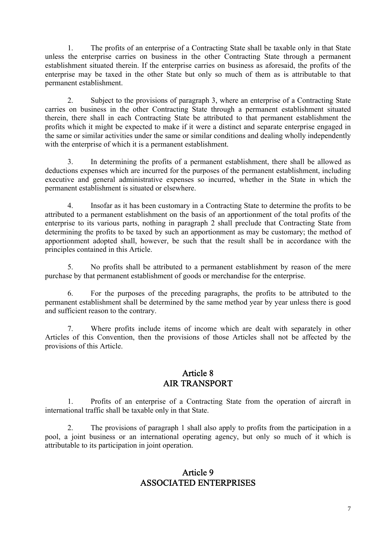1. The profits of an enterprise of a Contracting State shall be taxable only in that State unless the enterprise carries on business in the other Contracting State through a permanent establishment situated therein. If the enterprise carries on business as aforesaid, the profits of the enterprise may be taxed in the other State but only so much of them as is attributable to that permanent establishment.

2. Subject to the provisions of paragraph 3, where an enterprise of a Contracting State carries on business in the other Contracting State through a permanent establishment situated therein, there shall in each Contracting State be attributed to that permanent establishment the profits which it might be expected to make if it were a distinct and separate enterprise engaged in the same or similar activities under the same or similar conditions and dealing wholly independently with the enterprise of which it is a permanent establishment.

3. In determining the profits of a permanent establishment, there shall be allowed as deductions expenses which are incurred for the purposes of the permanent establishment, including executive and general administrative expenses so incurred, whether in the State in which the permanent establishment is situated or elsewhere.

4. Insofar as it has been customary in a Contracting State to determine the profits to be attributed to a permanent establishment on the basis of an apportionment of the total profits of the enterprise to its various parts, nothing in paragraph 2 shall preclude that Contracting State from determining the profits to be taxed by such an apportionment as may be customary; the method of apportionment adopted shall, however, be such that the result shall be in accordance with the principles contained in this Article.

5. No profits shall be attributed to a permanent establishment by reason of the mere purchase by that permanent establishment of goods or merchandise for the enterprise.

6. For the purposes of the preceding paragraphs, the profits to be attributed to the permanent establishment shall be determined by the same method year by year unless there is good and sufficient reason to the contrary.

7. Where profits include items of income which are dealt with separately in other Articles of this Convention, then the provisions of those Articles shall not be affected by the provisions of this Article.

#### Article 8 AIR TRANSPORT

1. Profits of an enterprise of a Contracting State from the operation of aircraft in international traffic shall be taxable only in that State.

2. The provisions of paragraph 1 shall also apply to profits from the participation in a pool, a joint business or an international operating agency, but only so much of it which is attributable to its participation in joint operation.

#### Article 9 ASSOCIATED ENTERPRISES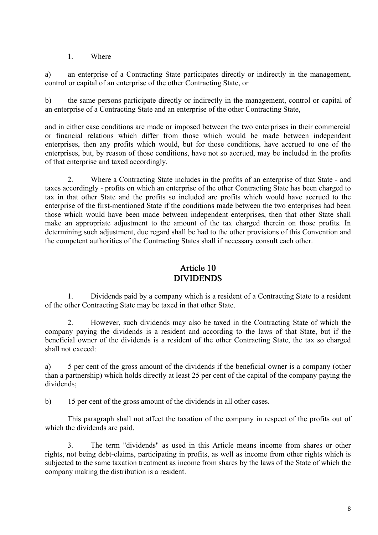1. Where

a) an enterprise of a Contracting State participates directly or indirectly in the management, control or capital of an enterprise of the other Contracting State, or

b) the same persons participate directly or indirectly in the management, control or capital of an enterprise of a Contracting State and an enterprise of the other Contracting State,

and in either case conditions are made or imposed between the two enterprises in their commercial or financial relations which differ from those which would be made between independent enterprises, then any profits which would, but for those conditions, have accrued to one of the enterprises, but, by reason of those conditions, have not so accrued, may be included in the profits of that enterprise and taxed accordingly.

2. Where a Contracting State includes in the profits of an enterprise of that State - and taxes accordingly - profits on which an enterprise of the other Contracting State has been charged to tax in that other State and the profits so included are profits which would have accrued to the enterprise of the first-mentioned State if the conditions made between the two enterprises had been those which would have been made between independent enterprises, then that other State shall make an appropriate adjustment to the amount of the tax charged therein on those profits. In determining such adjustment, due regard shall be had to the other provisions of this Convention and the competent authorities of the Contracting States shall if necessary consult each other.

#### Article 10 DIVIDENDS

1. Dividends paid by a company which is a resident of a Contracting State to a resident of the other Contracting State may be taxed in that other State.

2. However, such dividends may also be taxed in the Contracting State of which the company paying the dividends is a resident and according to the laws of that State, but if the beneficial owner of the dividends is a resident of the other Contracting State, the tax so charged shall not exceed:

a) 5 per cent of the gross amount of the dividends if the beneficial owner is a company (other than a partnership) which holds directly at least 25 per cent of the capital of the company paying the dividends;

b) 15 per cent of the gross amount of the dividends in all other cases.

This paragraph shall not affect the taxation of the company in respect of the profits out of which the dividends are paid.

3. The term "dividends" as used in this Article means income from shares or other rights, not being debt-claims, participating in profits, as well as income from other rights which is subjected to the same taxation treatment as income from shares by the laws of the State of which the company making the distribution is a resident.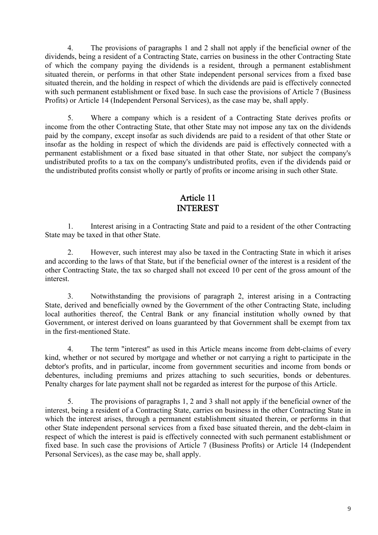4. The provisions of paragraphs 1 and 2 shall not apply if the beneficial owner of the dividends, being a resident of a Contracting State, carries on business in the other Contracting State of which the company paying the dividends is a resident, through a permanent establishment situated therein, or performs in that other State independent personal services from a fixed base situated therein, and the holding in respect of which the dividends are paid is effectively connected with such permanent establishment or fixed base. In such case the provisions of Article 7 (Business Profits) or Article 14 (Independent Personal Services), as the case may be, shall apply.

5. Where a company which is a resident of a Contracting State derives profits or income from the other Contracting State, that other State may not impose any tax on the dividends paid by the company, except insofar as such dividends are paid to a resident of that other State or insofar as the holding in respect of which the dividends are paid is effectively connected with a permanent establishment or a fixed base situated in that other State, nor subject the company's undistributed profits to a tax on the company's undistributed profits, even if the dividends paid or the undistributed profits consist wholly or partly of profits or income arising in such other State.

#### Article 11 INTEREST

1. Interest arising in a Contracting State and paid to a resident of the other Contracting State may be taxed in that other State.

2. However, such interest may also be taxed in the Contracting State in which it arises and according to the laws of that State, but if the beneficial owner of the interest is a resident of the other Contracting State, the tax so charged shall not exceed 10 per cent of the gross amount of the interest.

3. Notwithstanding the provisions of paragraph 2, interest arising in a Contracting State, derived and beneficially owned by the Government of the other Contracting State, including local authorities thereof, the Central Bank or any financial institution wholly owned by that Government, or interest derived on loans guaranteed by that Government shall be exempt from tax in the first-mentioned State.

4. The term "interest" as used in this Article means income from debt-claims of every kind, whether or not secured by mortgage and whether or not carrying a right to participate in the debtor's profits, and in particular, income from government securities and income from bonds or debentures, including premiums and prizes attaching to such securities, bonds or debentures. Penalty charges for late payment shall not be regarded as interest for the purpose of this Article.

5. The provisions of paragraphs 1, 2 and 3 shall not apply if the beneficial owner of the interest, being a resident of a Contracting State, carries on business in the other Contracting State in which the interest arises, through a permanent establishment situated therein, or performs in that other State independent personal services from a fixed base situated therein, and the debt-claim in respect of which the interest is paid is effectively connected with such permanent establishment or fixed base. In such case the provisions of Article 7 (Business Profits) or Article 14 (Independent Personal Services), as the case may be, shall apply.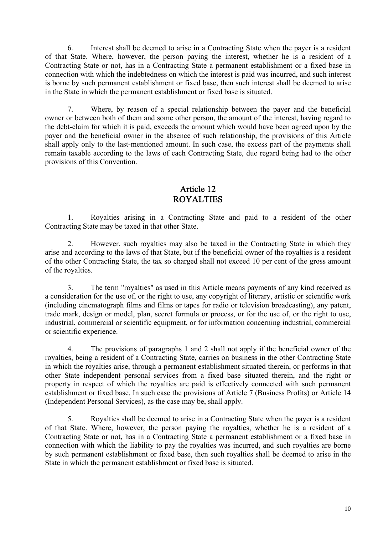6. Interest shall be deemed to arise in a Contracting State when the payer is a resident of that State. Where, however, the person paying the interest, whether he is a resident of a Contracting State or not, has in a Contracting State a permanent establishment or a fixed base in connection with which the indebtedness on which the interest is paid was incurred, and such interest is borne by such permanent establishment or fixed base, then such interest shall be deemed to arise in the State in which the permanent establishment or fixed base is situated.

7. Where, by reason of a special relationship between the payer and the beneficial owner or between both of them and some other person, the amount of the interest, having regard to the debt-claim for which it is paid, exceeds the amount which would have been agreed upon by the payer and the beneficial owner in the absence of such relationship, the provisions of this Article shall apply only to the last-mentioned amount. In such case, the excess part of the payments shall remain taxable according to the laws of each Contracting State, due regard being had to the other provisions of this Convention.

### Article 12 ROYALTIES

1. Royalties arising in a Contracting State and paid to a resident of the other Contracting State may be taxed in that other State.

2. However, such royalties may also be taxed in the Contracting State in which they arise and according to the laws of that State, but if the beneficial owner of the royalties is a resident of the other Contracting State, the tax so charged shall not exceed 10 per cent of the gross amount of the royalties.

3. The term "royalties" as used in this Article means payments of any kind received as a consideration for the use of, or the right to use, any copyright of literary, artistic or scientific work (including cinematograph films and films or tapes for radio or television broadcasting), any patent, trade mark, design or model, plan, secret formula or process, or for the use of, or the right to use, industrial, commercial or scientific equipment, or for information concerning industrial, commercial or scientific experience.

4. The provisions of paragraphs 1 and 2 shall not apply if the beneficial owner of the royalties, being a resident of a Contracting State, carries on business in the other Contracting State in which the royalties arise, through a permanent establishment situated therein, or performs in that other State independent personal services from a fixed base situated therein, and the right or property in respect of which the royalties are paid is effectively connected with such permanent establishment or fixed base. In such case the provisions of Article 7 (Business Profits) or Article 14 (Independent Personal Services), as the case may be, shall apply.

5. Royalties shall be deemed to arise in a Contracting State when the payer is a resident of that State. Where, however, the person paying the royalties, whether he is a resident of a Contracting State or not, has in a Contracting State a permanent establishment or a fixed base in connection with which the liability to pay the royalties was incurred, and such royalties are borne by such permanent establishment or fixed base, then such royalties shall be deemed to arise in the State in which the permanent establishment or fixed base is situated.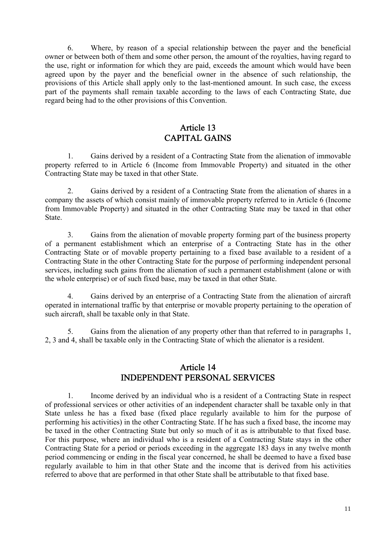6. Where, by reason of a special relationship between the payer and the beneficial owner or between both of them and some other person, the amount of the royalties, having regard to the use, right or information for which they are paid, exceeds the amount which would have been agreed upon by the payer and the beneficial owner in the absence of such relationship, the provisions of this Article shall apply only to the last-mentioned amount. In such case, the excess part of the payments shall remain taxable according to the laws of each Contracting State, due regard being had to the other provisions of this Convention.

#### Article 13 CAPITAL GAINS

1. Gains derived by a resident of a Contracting State from the alienation of immovable property referred to in Article 6 (Income from Immovable Property) and situated in the other Contracting State may be taxed in that other State.

2. Gains derived by a resident of a Contracting State from the alienation of shares in a company the assets of which consist mainly of immovable property referred to in Article 6 (Income from Immovable Property) and situated in the other Contracting State may be taxed in that other State.

3. Gains from the alienation of movable property forming part of the business property of a permanent establishment which an enterprise of a Contracting State has in the other Contracting State or of movable property pertaining to a fixed base available to a resident of a Contracting State in the other Contracting State for the purpose of performing independent personal services, including such gains from the alienation of such a permanent establishment (alone or with the whole enterprise) or of such fixed base, may be taxed in that other State.

4. Gains derived by an enterprise of a Contracting State from the alienation of aircraft operated in international traffic by that enterprise or movable property pertaining to the operation of such aircraft, shall be taxable only in that State.

5. Gains from the alienation of any property other than that referred to in paragraphs 1, 2, 3 and 4, shall be taxable only in the Contracting State of which the alienator is a resident.

#### Article 14 INDEPENDENT PERSONAL SERVICES

1. Income derived by an individual who is a resident of a Contracting State in respect of professional services or other activities of an independent character shall be taxable only in that State unless he has a fixed base (fixed place regularly available to him for the purpose of performing his activities) in the other Contracting State. If he has such a fixed base, the income may be taxed in the other Contracting State but only so much of it as is attributable to that fixed base. For this purpose, where an individual who is a resident of a Contracting State stays in the other Contracting State for a period or periods exceeding in the aggregate 183 days in any twelve month period commencing or ending in the fiscal year concerned, he shall be deemed to have a fixed base regularly available to him in that other State and the income that is derived from his activities referred to above that are performed in that other State shall be attributable to that fixed base.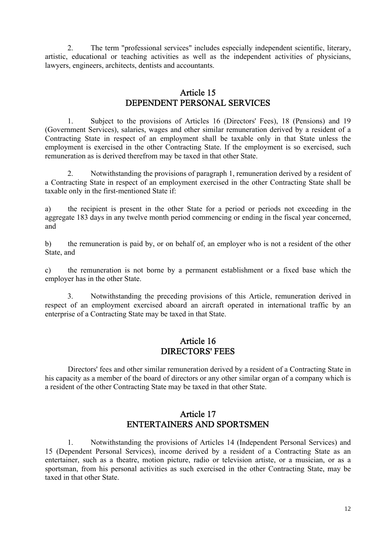2. The term "professional services" includes especially independent scientific, literary, artistic, educational or teaching activities as well as the independent activities of physicians, lawyers, engineers, architects, dentists and accountants.

#### Article 15 DEPENDENT PERSONAL SERVICES

1. Subject to the provisions of Articles 16 (Directors' Fees), 18 (Pensions) and 19 (Government Services), salaries, wages and other similar remuneration derived by a resident of a Contracting State in respect of an employment shall be taxable only in that State unless the employment is exercised in the other Contracting State. If the employment is so exercised, such remuneration as is derived therefrom may be taxed in that other State.

2. Notwithstanding the provisions of paragraph 1, remuneration derived by a resident of a Contracting State in respect of an employment exercised in the other Contracting State shall be taxable only in the first-mentioned State if:

a) the recipient is present in the other State for a period or periods not exceeding in the aggregate 183 days in any twelve month period commencing or ending in the fiscal year concerned, and

b) the remuneration is paid by, or on behalf of, an employer who is not a resident of the other State, and

c) the remuneration is not borne by a permanent establishment or a fixed base which the employer has in the other State.

3. Notwithstanding the preceding provisions of this Article, remuneration derived in respect of an employment exercised aboard an aircraft operated in international traffic by an enterprise of a Contracting State may be taxed in that State.

#### Article 16 DIRECTORS' FEES

 Directors' fees and other similar remuneration derived by a resident of a Contracting State in his capacity as a member of the board of directors or any other similar organ of a company which is a resident of the other Contracting State may be taxed in that other State.

#### Article 17 ENTERTAINERS AND SPORTSMEN

1. Notwithstanding the provisions of Articles 14 (Independent Personal Services) and 15 (Dependent Personal Services), income derived by a resident of a Contracting State as an entertainer, such as a theatre, motion picture, radio or television artiste, or a musician, or as a sportsman, from his personal activities as such exercised in the other Contracting State, may be taxed in that other State.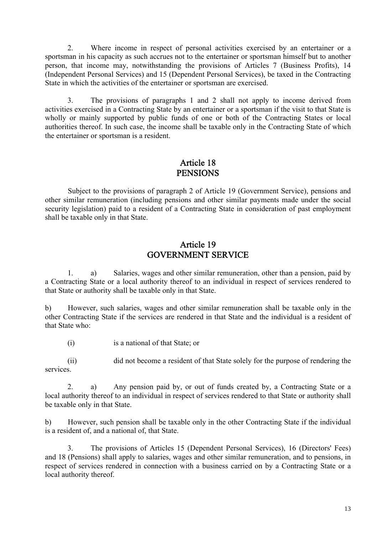2. Where income in respect of personal activities exercised by an entertainer or a sportsman in his capacity as such accrues not to the entertainer or sportsman himself but to another person, that income may, notwithstanding the provisions of Articles 7 (Business Profits), 14 (Independent Personal Services) and 15 (Dependent Personal Services), be taxed in the Contracting State in which the activities of the entertainer or sportsman are exercised.

3. The provisions of paragraphs 1 and 2 shall not apply to income derived from activities exercised in a Contracting State by an entertainer or a sportsman if the visit to that State is wholly or mainly supported by public funds of one or both of the Contracting States or local authorities thereof. In such case, the income shall be taxable only in the Contracting State of which the entertainer or sportsman is a resident.

#### Article 18 **PENSIONS**

 Subject to the provisions of paragraph 2 of Article 19 (Government Service), pensions and other similar remuneration (including pensions and other similar payments made under the social security legislation) paid to a resident of a Contracting State in consideration of past employment shall be taxable only in that State.

#### Article 19 GOVERNMENT SERVICE

1. a) Salaries, wages and other similar remuneration, other than a pension, paid by a Contracting State or a local authority thereof to an individual in respect of services rendered to that State or authority shall be taxable only in that State.

b) However, such salaries, wages and other similar remuneration shall be taxable only in the other Contracting State if the services are rendered in that State and the individual is a resident of that State who:

(i) is a national of that State; or

(ii) did not become a resident of that State solely for the purpose of rendering the services.

2. a) Any pension paid by, or out of funds created by, a Contracting State or a local authority thereof to an individual in respect of services rendered to that State or authority shall be taxable only in that State.

b) However, such pension shall be taxable only in the other Contracting State if the individual is a resident of, and a national of, that State.

3. The provisions of Articles 15 (Dependent Personal Services), 16 (Directors' Fees) and 18 (Pensions) shall apply to salaries, wages and other similar remuneration, and to pensions, in respect of services rendered in connection with a business carried on by a Contracting State or a local authority thereof.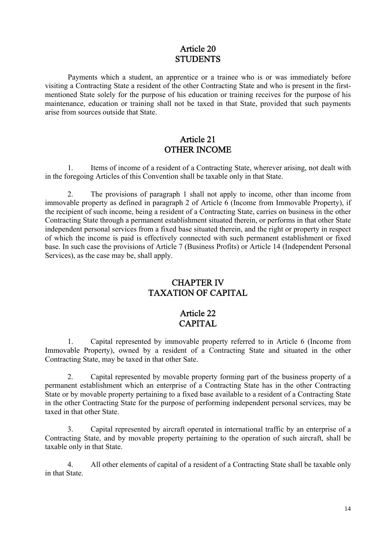#### Article 20 **STUDENTS**

 Payments which a student, an apprentice or a trainee who is or was immediately before visiting a Contracting State a resident of the other Contracting State and who is present in the firstmentioned State solely for the purpose of his education or training receives for the purpose of his maintenance, education or training shall not be taxed in that State, provided that such payments arise from sources outside that State.

#### Article 21 OTHER INCOME

1. Items of income of a resident of a Contracting State, wherever arising, not dealt with in the foregoing Articles of this Convention shall be taxable only in that State.

2. The provisions of paragraph 1 shall not apply to income, other than income from immovable property as defined in paragraph 2 of Article 6 (Income from Immovable Property), if the recipient of such income, being a resident of a Contracting State, carries on business in the other Contracting State through a permanent establishment situated therein, or performs in that other State independent personal services from a fixed base situated therein, and the right or property in respect of which the income is paid is effectively connected with such permanent establishment or fixed base. In such case the provisions of Article 7 (Business Profits) or Article 14 (Independent Personal Services), as the case may be, shall apply.

#### CHAPTER IV TAXATION OF CAPITAL

#### Article 22 CAPITAL

1. Capital represented by immovable property referred to in Article 6 (Income from Immovable Property), owned by a resident of a Contracting State and situated in the other Contracting State, may be taxed in that other Sate.

2. Capital represented by movable property forming part of the business property of a permanent establishment which an enterprise of a Contracting State has in the other Contracting State or by movable property pertaining to a fixed base available to a resident of a Contracting State in the other Contracting State for the purpose of performing independent personal services, may be taxed in that other State.

3. Capital represented by aircraft operated in international traffic by an enterprise of a Contracting State, and by movable property pertaining to the operation of such aircraft, shall be taxable only in that State.

4. All other elements of capital of a resident of a Contracting State shall be taxable only in that State.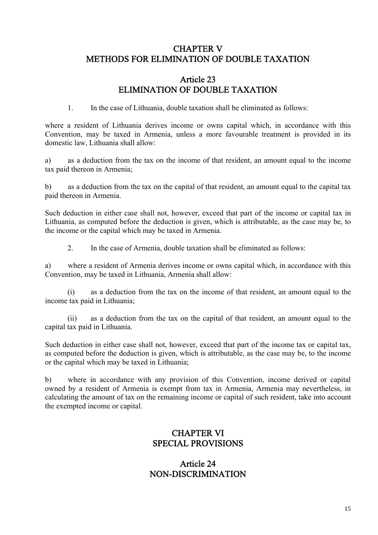#### CHAPTER V METHODS FOR ELIMINATION OF DOUBLE TAXATION

#### Article 23 ELIMINATION OF DOUBLE TAXATION

1. In the case of Lithuania, double taxation shall be eliminated as follows:

where a resident of Lithuania derives income or owns capital which, in accordance with this Convention, may be taxed in Armenia, unless a more favourable treatment is provided in its domestic law, Lithuania shall allow:

a) as a deduction from the tax on the income of that resident, an amount equal to the income tax paid thereon in Armenia;

b) as a deduction from the tax on the capital of that resident, an amount equal to the capital tax paid thereon in Armenia.

Such deduction in either case shall not, however, exceed that part of the income or capital tax in Lithuania, as computed before the deduction is given, which is attributable, as the case may be, to the income or the capital which may be taxed in Armenia.

2. In the case of Armenia, double taxation shall be eliminated as follows:

a) where a resident of Armenia derives income or owns capital which, in accordance with this Convention, may be taxed in Lithuania, Armenia shall allow:

(i) as a deduction from the tax on the income of that resident, an amount equal to the income tax paid in Lithuania;

(ii) as a deduction from the tax on the capital of that resident, an amount equal to the capital tax paid in Lithuania.

Such deduction in either case shall not, however, exceed that part of the income tax or capital tax, as computed before the deduction is given, which is attributable, as the case may be, to the income or the capital which may be taxed in Lithuania;

b) where in accordance with any provision of this Convention, income derived or capital owned by a resident of Armenia is exempt from tax in Armenia, Armenia may nevertheless, in calculating the amount of tax on the remaining income or capital of such resident, take into account the exempted income or capital.

#### CHAPTER VI SPECIAL PROVISIONS

#### Article 24 NON-DISCRIMINATION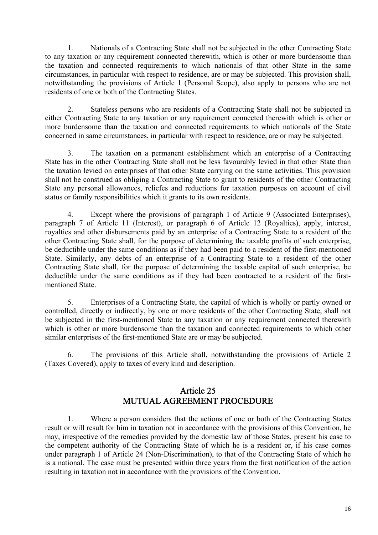1. Nationals of a Contracting State shall not be subjected in the other Contracting State to any taxation or any requirement connected therewith, which is other or more burdensome than the taxation and connected requirements to which nationals of that other State in the same circumstances, in particular with respect to residence, are or may be subjected. This provision shall, notwithstanding the provisions of Article 1 (Personal Scope), also apply to persons who are not residents of one or both of the Contracting States.

2. Stateless persons who are residents of a Contracting State shall not be subjected in either Contracting State to any taxation or any requirement connected therewith which is other or more burdensome than the taxation and connected requirements to which nationals of the State concerned in same circumstances, in particular with respect to residence, are or may be subjected.

3. The taxation on a permanent establishment which an enterprise of a Contracting State has in the other Contracting State shall not be less favourably levied in that other State than the taxation levied on enterprises of that other State carrying on the same activities. This provision shall not be construed as obliging a Contracting State to grant to residents of the other Contracting State any personal allowances, reliefes and reductions for taxation purposes on account of civil status or family responsibilities which it grants to its own residents.

4. Except where the provisions of paragraph 1 of Article 9 (Associated Enterprises), paragraph 7 of Article 11 (Interest), or paragraph 6 of Article 12 (Royalties), apply, interest, royalties and other disbursements paid by an enterprise of a Contracting State to a resident of the other Contracting State shall, for the purpose of determining the taxable profits of such enterprise, be deductible under the same conditions as if they had been paid to a resident of the first-mentioned State. Similarly, any debts of an enterprise of a Contracting State to a resident of the other Contracting State shall, for the purpose of determining the taxable capital of such enterprise, be deductible under the same conditions as if they had been contracted to a resident of the firstmentioned State.

5. Enterprises of a Contracting State, the capital of which is wholly or partly owned or controlled, directly or indirectly, by one or more residents of the other Contracting State, shall not be subjected in the first-mentioned State to any taxation or any requirement connected therewith which is other or more burdensome than the taxation and connected requirements to which other similar enterprises of the first-mentioned State are or may be subjected.

6. The provisions of this Article shall, notwithstanding the provisions of Article 2 (Taxes Covered), apply to taxes of every kind and description.

### Article 25 MUTUAL AGREEMENT PROCEDURE

1. Where a person considers that the actions of one or both of the Contracting States result or will result for him in taxation not in accordance with the provisions of this Convention, he may, irrespective of the remedies provided by the domestic law of those States, present his case to the competent authority of the Contracting State of which he is a resident or, if his case comes under paragraph 1 of Article 24 (Non-Discrimination), to that of the Contracting State of which he is a national. The case must be presented within three years from the first notification of the action resulting in taxation not in accordance with the provisions of the Convention.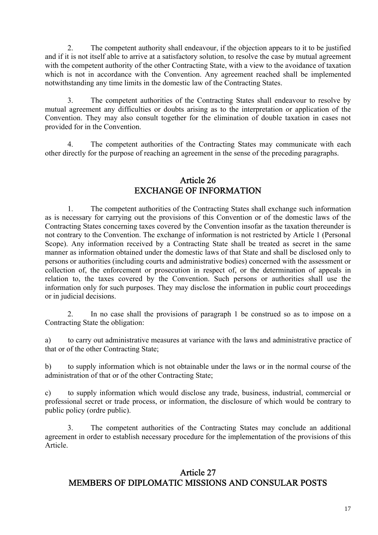2. The competent authority shall endeavour, if the objection appears to it to be justified and if it is not itself able to arrive at a satisfactory solution, to resolve the case by mutual agreement with the competent authority of the other Contracting State, with a view to the avoidance of taxation which is not in accordance with the Convention. Any agreement reached shall be implemented notwithstanding any time limits in the domestic law of the Contracting States.

3. The competent authorities of the Contracting States shall endeavour to resolve by mutual agreement any difficulties or doubts arising as to the interpretation or application of the Convention. They may also consult together for the elimination of double taxation in cases not provided for in the Convention.

4. The competent authorities of the Contracting States may communicate with each other directly for the purpose of reaching an agreement in the sense of the preceding paragraphs.

#### Article 26 EXCHANGE OF INFORMATION

1. The competent authorities of the Contracting States shall exchange such information as is necessary for carrying out the provisions of this Convention or of the domestic laws of the Contracting States concerning taxes covered by the Convention insofar as the taxation thereunder is not contrary to the Convention. The exchange of information is not restricted by Article 1 (Personal Scope). Any information received by a Contracting State shall be treated as secret in the same manner as information obtained under the domestic laws of that State and shall be disclosed only to persons or authorities (including courts and administrative bodies) concerned with the assessment or collection of, the enforcement or prosecution in respect of, or the determination of appeals in relation to, the taxes covered by the Convention. Such persons or authorities shall use the information only for such purposes. They may disclose the information in public court proceedings or in judicial decisions.

2. In no case shall the provisions of paragraph 1 be construed so as to impose on a Contracting State the obligation:

a) to carry out administrative measures at variance with the laws and administrative practice of that or of the other Contracting State;

b) to supply information which is not obtainable under the laws or in the normal course of the administration of that or of the other Contracting State;

c) to supply information which would disclose any trade, business, industrial, commercial or professional secret or trade process, or information, the disclosure of which would be contrary to public policy (ordre public).

3. The competent authorities of the Contracting States may conclude an additional agreement in order to establish necessary procedure for the implementation of the provisions of this Article.

#### Article 27 MEMBERS OF DIPLOMATIC MISSIONS AND CONSULAR POSTS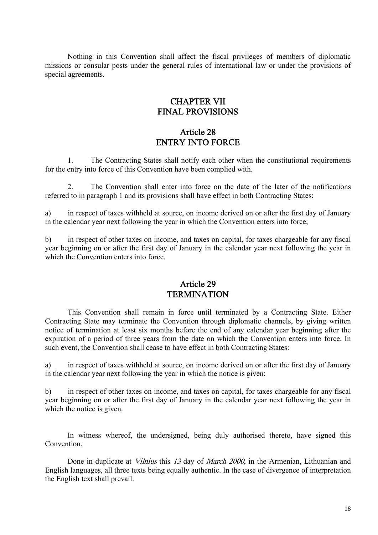Nothing in this Convention shall affect the fiscal privileges of members of diplomatic missions or consular posts under the general rules of international law or under the provisions of special agreements.

#### CHAPTER VII FINAL PROVISIONS

#### Article 28 ENTRY INTO FORCE

1. The Contracting States shall notify each other when the constitutional requirements for the entry into force of this Convention have been complied with.

2. The Convention shall enter into force on the date of the later of the notifications referred to in paragraph 1 and its provisions shall have effect in both Contracting States:

a) in respect of taxes withheld at source, on income derived on or after the first day of January in the calendar year next following the year in which the Convention enters into force;

b) in respect of other taxes on income, and taxes on capital, for taxes chargeable for any fiscal year beginning on or after the first day of January in the calendar year next following the year in which the Convention enters into force

#### Article 29 **TERMINATION**

This Convention shall remain in force until terminated by a Contracting State. Either Contracting State may terminate the Convention through diplomatic channels, by giving written notice of termination at least six months before the end of any calendar year beginning after the expiration of a period of three years from the date on which the Convention enters into force. In such event, the Convention shall cease to have effect in both Contracting States:

a) in respect of taxes withheld at source, on income derived on or after the first day of January in the calendar year next following the year in which the notice is given;

b) in respect of other taxes on income, and taxes on capital, for taxes chargeable for any fiscal year beginning on or after the first day of January in the calendar year next following the year in which the notice is given.

In witness whereof, the undersigned, being duly authorised thereto, have signed this Convention.

Done in duplicate at *Vilnius* this 13 day of *March 2000*, in the Armenian, Lithuanian and English languages, all three texts being equally authentic. In the case of divergence of interpretation the English text shall prevail.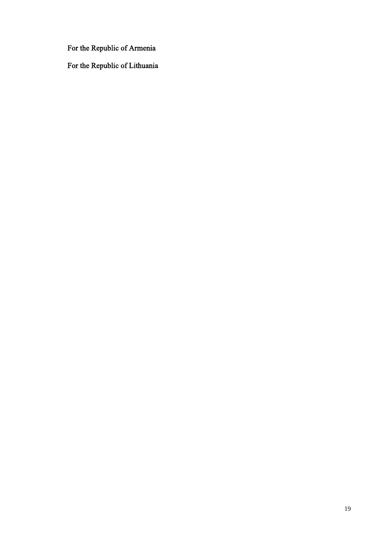For the Republic of Armenia

For the Republic of Lithuania